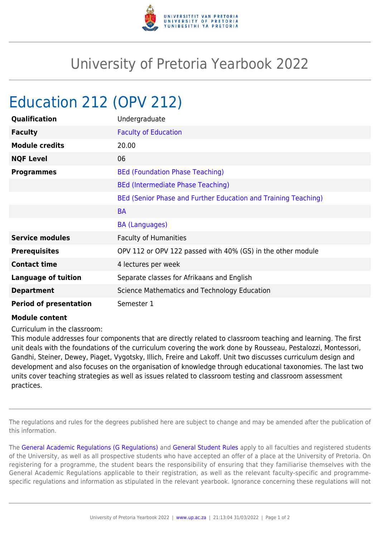

## University of Pretoria Yearbook 2022

## Education 212 (OPV 212)

| Qualification                 | Undergraduate                                                  |
|-------------------------------|----------------------------------------------------------------|
| <b>Faculty</b>                | <b>Faculty of Education</b>                                    |
| <b>Module credits</b>         | 20.00                                                          |
| <b>NQF Level</b>              | 06                                                             |
| <b>Programmes</b>             | <b>BEd (Foundation Phase Teaching)</b>                         |
|                               | <b>BEd (Intermediate Phase Teaching)</b>                       |
|                               | BEd (Senior Phase and Further Education and Training Teaching) |
|                               | <b>BA</b>                                                      |
|                               | <b>BA (Languages)</b>                                          |
| <b>Service modules</b>        | <b>Faculty of Humanities</b>                                   |
| <b>Prerequisites</b>          | OPV 112 or OPV 122 passed with 40% (GS) in the other module    |
| <b>Contact time</b>           | 4 lectures per week                                            |
| <b>Language of tuition</b>    | Separate classes for Afrikaans and English                     |
| <b>Department</b>             | Science Mathematics and Technology Education                   |
| <b>Period of presentation</b> | Semester 1                                                     |

## **Module content**

Curriculum in the classroom:

This module addresses four components that are directly related to classroom teaching and learning. The first unit deals with the foundations of the curriculum covering the work done by Rousseau, Pestalozzi, Montessori, Gandhi, Steiner, Dewey, Piaget, Vygotsky, Illich, Freire and Lakoff. Unit two discusses curriculum design and development and also focuses on the organisation of knowledge through educational taxonomies. The last two units cover teaching strategies as well as issues related to classroom testing and classroom assessment practices.

The regulations and rules for the degrees published here are subject to change and may be amended after the publication of this information.

The [General Academic Regulations \(G Regulations\)](https://www.up.ac.za/yearbooks/2022/rules/view/REG) and [General Student Rules](https://www.up.ac.za/yearbooks/2022/rules/view/RUL) apply to all faculties and registered students of the University, as well as all prospective students who have accepted an offer of a place at the University of Pretoria. On registering for a programme, the student bears the responsibility of ensuring that they familiarise themselves with the General Academic Regulations applicable to their registration, as well as the relevant faculty-specific and programmespecific regulations and information as stipulated in the relevant yearbook. Ignorance concerning these regulations will not